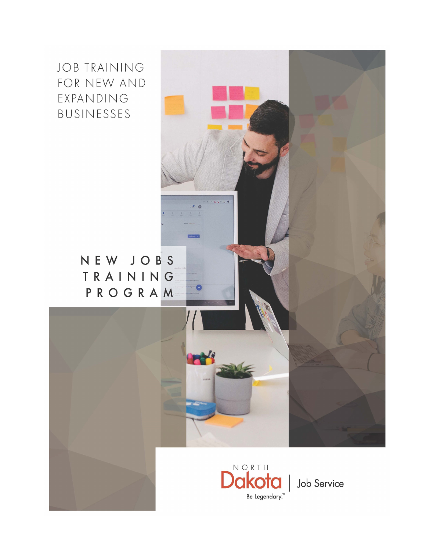**JOB TRAINING** FOR NEW AND EXPANDING BUSINESSES

> NEW JOBS TRAINING PROGRAM



 $P = 400$ 

**Ref**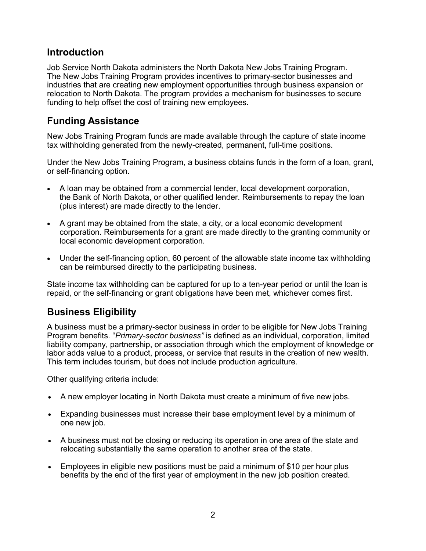### **Introduction**

Job Service North Dakota administers the North Dakota New Jobs Training Program. The New Jobs Training Program provides incentives to primary-sector businesses and industries that are creating new employment opportunities through business expansion or relocation to North Dakota. The program provides a mechanism for businesses to secure funding to help offset the cost of training new employees.

## **Funding Assistance**

New Jobs Training Program funds are made available through the capture of state income tax withholding generated from the newly-created, permanent, full-time positions.

Under the New Jobs Training Program, a business obtains funds in the form of a loan, grant, or self-financing option.

- A loan may be obtained from a commercial lender, local development corporation, the Bank of North Dakota, or other qualified lender. Reimbursements to repay the loan (plus interest) are made directly to the lender.
- A grant may be obtained from the state, a city, or a local economic development corporation. Reimbursements for a grant are made directly to the granting community or local economic development corporation.
- Under the self-financing option, 60 percent of the allowable state income tax withholding can be reimbursed directly to the participating business.

State income tax withholding can be captured for up to a ten-year period or until the loan is repaid, or the self-financing or grant obligations have been met, whichever comes first.

### **Business Eligibility**

A business must be a primary-sector business in order to be eligible for New Jobs Training Program benefits. "*Primary-sector business"* is defined as an individual, corporation, limited liability company, partnership, or association through which the employment of knowledge or labor adds value to a product, process, or service that results in the creation of new wealth. This term includes tourism, but does not include production agriculture.

Other qualifying criteria include:

- A new employer locating in North Dakota must create a minimum of five new jobs.
- Expanding businesses must increase their base employment level by a minimum of one new job.
- A business must not be closing or reducing its operation in one area of the state and relocating substantially the same operation to another area of the state.
- Employees in eligible new positions must be paid a minimum of \$10 per hour plus benefits by the end of the first year of employment in the new job position created.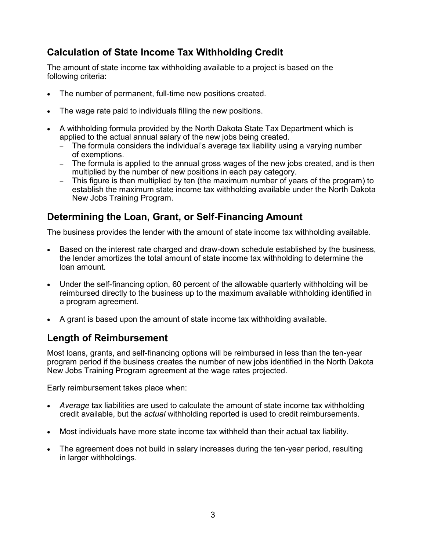## **Calculation of State Income Tax Withholding Credit**

The amount of state income tax withholding available to a project is based on the following criteria:

- The number of permanent, full-time new positions created.
- The wage rate paid to individuals filling the new positions.
- A withholding formula provided by the North Dakota State Tax Department which is applied to the actual annual salary of the new jobs being created.
	- The formula considers the individual's average tax liability using a varying number of exemptions.
	- − The formula is applied to the annual gross wages of the new jobs created, and is then multiplied by the number of new positions in each pay category.
	- − This figure is then multiplied by ten (the maximum number of years of the program) to establish the maximum state income tax withholding available under the North Dakota New Jobs Training Program.

## **Determining the Loan, Grant, or Self-Financing Amount**

The business provides the lender with the amount of state income tax withholding available.

- Based on the interest rate charged and draw-down schedule established by the business, the lender amortizes the total amount of state income tax withholding to determine the loan amount.
- Under the self-financing option, 60 percent of the allowable quarterly withholding will be reimbursed directly to the business up to the maximum available withholding identified in a program agreement.
- A grant is based upon the amount of state income tax withholding available.

# **Length of Reimbursement**

Most loans, grants, and self-financing options will be reimbursed in less than the ten-year program period if the business creates the number of new jobs identified in the North Dakota New Jobs Training Program agreement at the wage rates projected.

Early reimbursement takes place when:

- *Average* tax liabilities are used to calculate the amount of state income tax withholding credit available, but the *actual* withholding reported is used to credit reimbursements.
- Most individuals have more state income tax withheld than their actual tax liability.
- The agreement does not build in salary increases during the ten-year period, resulting in larger withholdings.